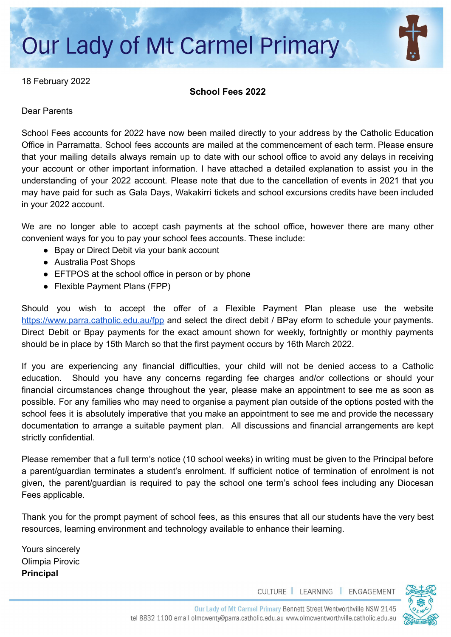# **Our Lady of Mt Carmel Primary**

18 February 2022

**School Fees 2022**

Dear Parents

School Fees accounts for 2022 have now been mailed directly to your address by the Catholic Education Office in Parramatta. School fees accounts are mailed at the commencement of each term. Please ensure that your mailing details always remain up to date with our school office to avoid any delays in receiving your account or other important information. I have attached a detailed explanation to assist you in the understanding of your 2022 account. Please note that due to the cancellation of events in 2021 that you may have paid for such as Gala Days, Wakakirri tickets and school excursions credits have been included in your 2022 account.

We are no longer able to accept cash payments at the school office, however there are many other convenient ways for you to pay your school fees accounts. These include:

- Bpay or Direct Debit via your bank account
- Australia Post Shops
- EFTPOS at the school office in person or by phone
- Flexible Payment Plans (FPP)

Should you wish to accept the offer of a Flexible Payment Plan please use the website <https://www.parra.catholic.edu.au/fpp> and select the direct debit / BPay eform to schedule your payments. Direct Debit or Bpay payments for the exact amount shown for weekly, fortnightly or monthly payments should be in place by 15th March so that the first payment occurs by 16th March 2022.

If you are experiencing any financial difficulties, your child will not be denied access to a Catholic education. Should you have any concerns regarding fee charges and/or collections or should your financial circumstances change throughout the year, please make an appointment to see me as soon as possible. For any families who may need to organise a payment plan outside of the options posted with the school fees it is absolutely imperative that you make an appointment to see me and provide the necessary documentation to arrange a suitable payment plan. All discussions and financial arrangements are kept strictly confidential.

Please remember that a full term's notice (10 school weeks) in writing must be given to the Principal before a parent/guardian terminates a student's enrolment. If sufficient notice of termination of enrolment is not given, the parent/guardian is required to pay the school one term's school fees including any Diocesan Fees applicable.

Thank you for the prompt payment of school fees, as this ensures that all our students have the very best resources, learning environment and technology available to enhance their learning.

Yours sincerely Olimpia Pirovic **Principal**

CULTURE | LEARNING | ENGAGEMENT

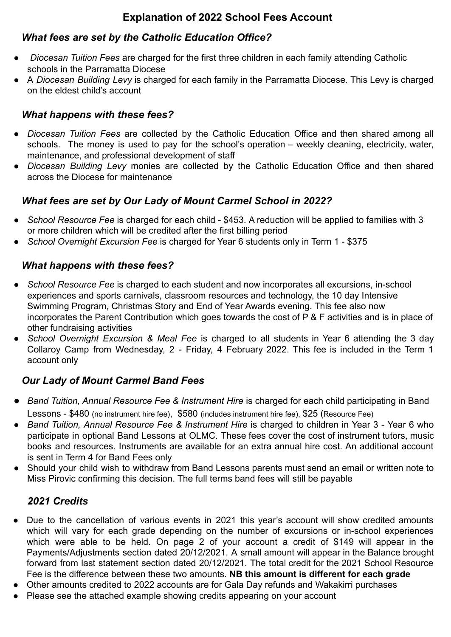# **Explanation of 2022 School Fees Account**

#### *What fees are set by the Catholic Education Office?*

- *Diocesan Tuition Fees* are charged for the first three children in each family attending Catholic schools in the Parramatta Diocese
- A *Diocesan Building Levy* is charged for each family in the Parramatta Diocese*.* This Levy is charged on the eldest child's account

#### *What happens with these fees?*

- *Diocesan Tuition Fees* are collected by the Catholic Education Office and then shared among all schools. The money is used to pay for the school's operation – weekly cleaning, electricity, water, maintenance, and professional development of staff
- *Diocesan Building Levy* monies are collected by the Catholic Education Office and then shared across the Diocese for maintenance

# *What fees are set by Our Lady of Mount Carmel School in 2022?*

- *School Resource Fee* is charged for each child \$453. A reduction will be applied to families with 3 or more children which will be credited after the first billing period
- *School Overnight Excursion Fee* is charged for Year 6 students only in Term 1 \$375

#### *What happens with these fees?*

- *School Resource Fee* is charged to each student and now incorporates all excursions, in-school experiences and sports carnivals, classroom resources and technology, the 10 day Intensive Swimming Program, Christmas Story and End of Year Awards evening. This fee also now incorporates the Parent Contribution which goes towards the cost of P & F activities and is in place of other fundraising activities
- *School Overnight Excursion & Meal Fee* is charged to all students in Year 6 attending the 3 day Collaroy Camp from Wednesday, 2 - Friday, 4 February 2022. This fee is included in the Term 1 account only

# *Our Lady of Mount Carmel Band Fees*

- *Band Tuition, Annual Resource Fee & Instrument Hire* is charged for each child participating in Band Lessons - \$480 (no instrument hire fee), \$580 (includes instrument hire fee), \$25 (Resource Fee)
- *Band Tuition, Annual Resource Fee & Instrument Hire* is charged to children in Year 3 Year 6 who participate in optional Band Lessons at OLMC. These fees cover the cost of instrument tutors, music books and resources. Instruments are available for an extra annual hire cost. An additional account is sent in Term 4 for Band Fees only
- Should your child wish to withdraw from Band Lessons parents must send an email or written note to Miss Pirovic confirming this decision. The full terms band fees will still be payable

# *2021 Credits*

- Due to the cancellation of various events in 2021 this year's account will show credited amounts which will vary for each grade depending on the number of excursions or in-school experiences which were able to be held. On page 2 of your account a credit of \$149 will appear in the Payments/Adjustments section dated 20/12/2021. A small amount will appear in the Balance brought forward from last statement section dated 20/12/2021. The total credit for the 2021 School Resource Fee is the difference between these two amounts. **NB this amount is different for each grade**
- Other amounts credited to 2022 accounts are for Gala Day refunds and Wakakirri purchases
- Please see the attached example showing credits appearing on your account